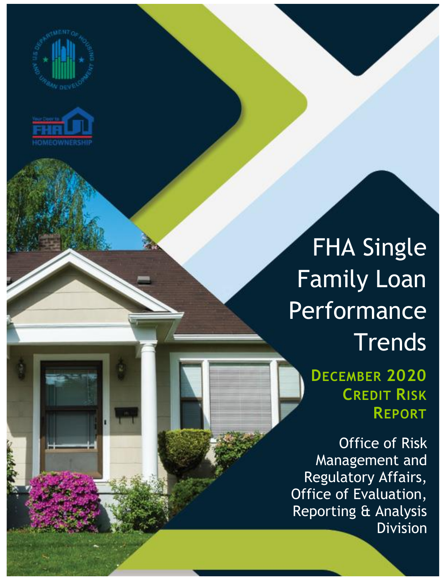



## FHA Single Family Loan Performance **Trends**

**DECEMBER 2020 CREDIT RISK REPORT**

Office of Risk Management and Regulatory Affairs, Office of Evaluation, Reporting & Analysis Division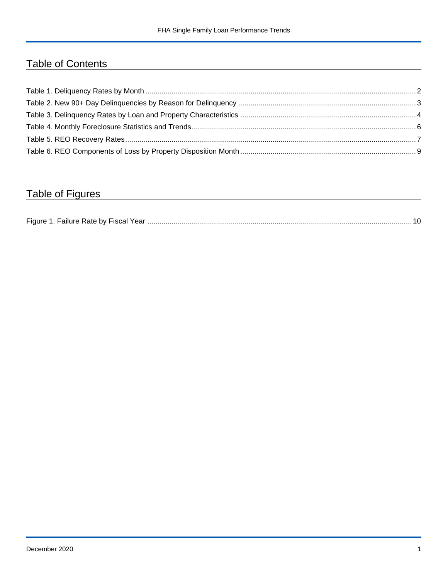## Table of Contents

## Table of Figures

| Figure 1<br>Failure Rate by Fiscal Year. |  |
|------------------------------------------|--|
|------------------------------------------|--|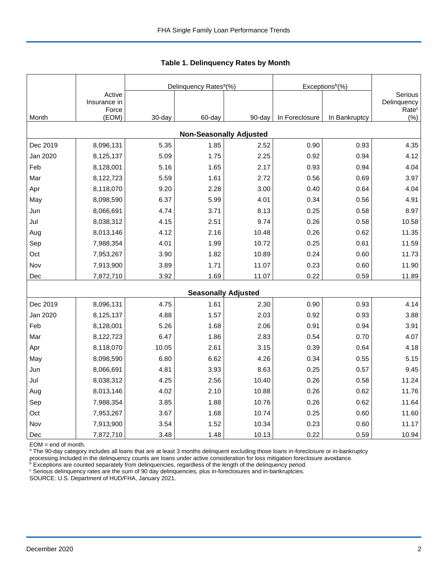|          |                                 |        | Delinquency Rates <sup>a</sup> (%) |        | Exceptions <sup>b</sup> (%) |               |                                             |
|----------|---------------------------------|--------|------------------------------------|--------|-----------------------------|---------------|---------------------------------------------|
|          | Active<br>Insurance in<br>Force |        |                                    |        |                             |               | Serious<br>Delinquency<br>Rate <sup>c</sup> |
| Month    | (EOM)                           | 30-day | 60-day                             | 90-day | In Foreclosure              | In Bankruptcy | (%)                                         |
|          |                                 |        | <b>Non-Seasonally Adjusted</b>     |        |                             |               |                                             |
| Dec 2019 | 8,096,131                       | 5.35   | 1.85                               | 2.52   | 0.90                        | 0.93          | 4.35                                        |
| Jan 2020 | 8,125,137                       | 5.09   | 1.75                               | 2.25   | 0.92                        | 0.94          | 4.12                                        |
| Feb      | 8,128,001                       | 5.16   | 1.65                               | 2.17   | 0.93                        | 0.94          | 4.04                                        |
| Mar      | 8,122,723                       | 5.59   | 1.61                               | 2.72   | 0.56                        | 0.69          | 3.97                                        |
| Apr      | 8,118,070                       | 9.20   | 2.28                               | 3.00   | 0.40                        | 0.64          | 4.04                                        |
| May      | 8,098,590                       | 6.37   | 5.99                               | 4.01   | 0.34                        | 0.56          | 4.91                                        |
| Jun      | 8,066,691                       | 4.74   | 3.71                               | 8.13   | 0.25                        | 0.58          | 8.97                                        |
| Jul      | 8,038,312                       | 4.15   | 2.51                               | 9.74   | 0.26                        | 0.58          | 10.58                                       |
| Aug      | 8,013,146                       | 4.12   | 2.16                               | 10.48  | 0.26                        | 0.62          | 11.35                                       |
| Sep      | 7,988,354                       | 4.01   | 1.99                               | 10.72  | 0.25                        | 0.61          | 11.59                                       |
| Oct      | 7,953,267                       | 3.90   | 1.82                               | 10.89  | 0.24                        | 0.60          | 11.73                                       |
| Nov      | 7,913,900                       | 3.89   | 1.71                               | 11.07  | 0.23                        | 0.60          | 11.90                                       |
| Dec      | 7,872,710                       | 3.92   | 1.69                               | 11.07  | 0.22                        | 0.59          | 11.89                                       |
|          |                                 |        | <b>Seasonally Adjusted</b>         |        |                             |               |                                             |
| Dec 2019 | 8,096,131                       | 4.75   | 1.61                               | 2.30   | 0.90                        | 0.93          | 4.14                                        |
| Jan 2020 | 8,125,137                       | 4.88   | 1.57                               | 2.03   | 0.92                        | 0.93          | 3.88                                        |
| Feb      | 8,128,001                       | 5.26   | 1.68                               | 2.06   | 0.91                        | 0.94          | 3.91                                        |
| Mar      | 8,122,723                       | 6.47   | 1.86                               | 2.83   | 0.54                        | 0.70          | 4.07                                        |
| Apr      | 8,118,070                       | 10.05  | 2.61                               | 3.15   | 0.39                        | 0.64          | 4.18                                        |
| May      | 8,098,590                       | 6.80   | 6.62                               | 4.26   | 0.34                        | 0.55          | 5.15                                        |
| Jun      | 8,066,691                       | 4.81   | 3.93                               | 8.63   | 0.25                        | 0.57          | 9.45                                        |
| Jul      | 8,038,312                       | 4.25   | 2.56                               | 10.40  | 0.26                        | 0.58          | 11.24                                       |
| Aug      | 8,013,146                       | 4.02   | 2.10                               | 10.88  | 0.26                        | 0.62          | 11.76                                       |
| Sep      | 7,988,354                       | 3.85   | 1.88                               | 10.76  | 0.26                        | 0.62          | 11.64                                       |
| Oct      | 7,953,267                       | 3.67   | 1.68                               | 10.74  | 0.25                        | 0.60          | 11.60                                       |
| Nov      | 7,913,900                       | 3.54   | 1.52                               | 10.34  | 0.23                        | 0.60          | 11.17                                       |
| Dec      | 7,872,710                       | 3.48   | 1.48                               | 10.13  | 0.22                        | 0.59          | 10.94                                       |

<span id="page-2-0"></span>**Table 1. Delinquency Rates by Month**

EOM = end of month.

<sup>a</sup> The 90-day category includes all loans that are at least 3 months delinquent excluding those loans in-foreclosure or in-bankruptcy

processing.Included in the delinquency counts are loans under active consideration for loss mitigation foreclosure avoidance.

 $b$  Exceptions are counted separately from delinquencies, regardless of the length of the delinquency period.

<sup>c</sup> Serious delinquency rates are the sum of 90 day delinquencies, plus in-foreclosures and in-bankruptcies.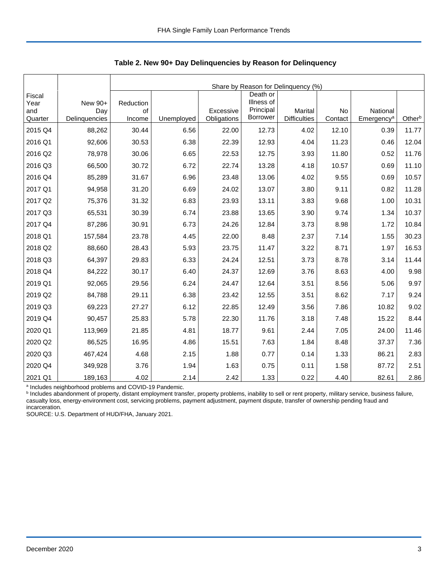|                                  |                                 |                           | Share by Reason for Delinquency (%) |                          |                                                        |                                |               |                                    |        |  |  |  |
|----------------------------------|---------------------------------|---------------------------|-------------------------------------|--------------------------|--------------------------------------------------------|--------------------------------|---------------|------------------------------------|--------|--|--|--|
| Fiscal<br>Year<br>and<br>Quarter | New 90+<br>Day<br>Delinquencies | Reduction<br>of<br>Income | Unemployed                          | Excessive<br>Obligations | Death or<br>Illness of<br>Principal<br><b>Borrower</b> | Marital<br><b>Difficulties</b> | No<br>Contact | National<br>Emergency <sup>a</sup> | Otherb |  |  |  |
| 2015 Q4                          | 88,262                          | 30.44                     | 6.56                                | 22.00                    | 12.73                                                  | 4.02                           | 12.10         | 0.39                               | 11.77  |  |  |  |
| 2016 Q1                          | 92,606                          | 30.53                     | 6.38                                | 22.39                    | 12.93                                                  | 4.04                           | 11.23         | 0.46                               | 12.04  |  |  |  |
| 2016 Q2                          | 78,978                          | 30.06                     | 6.65                                | 22.53                    | 12.75                                                  | 3.93                           | 11.80         | 0.52                               | 11.76  |  |  |  |
| 2016 Q3                          | 66,500                          | 30.72                     | 6.72                                | 22.74                    | 13.28                                                  | 4.18                           | 10.57         | 0.69                               | 11.10  |  |  |  |
| 2016 Q4                          | 85,289                          | 31.67                     | 6.96                                | 23.48                    | 13.06                                                  | 4.02                           | 9.55          | 0.69                               | 10.57  |  |  |  |
| 2017 Q1                          | 94,958                          | 31.20                     | 6.69                                | 24.02                    | 13.07                                                  | 3.80                           | 9.11          | 0.82                               | 11.28  |  |  |  |
| 2017 Q2                          | 75,376                          | 31.32                     | 6.83                                | 23.93                    | 13.11                                                  | 3.83                           | 9.68          | 1.00                               | 10.31  |  |  |  |
| 2017 Q3                          | 65,531                          | 30.39                     | 6.74                                | 23.88                    | 13.65                                                  | 3.90                           | 9.74          | 1.34                               | 10.37  |  |  |  |
| 2017 Q4                          | 87,286                          | 30.91                     | 6.73                                | 24.26                    | 12.84                                                  | 3.73                           | 8.98          | 1.72                               | 10.84  |  |  |  |
| 2018 Q1                          | 157,584                         | 23.78                     | 4.45                                | 22.00                    | 8.48                                                   | 2.37                           | 7.14          | 1.55                               | 30.23  |  |  |  |
| 2018 Q2                          | 88,660                          | 28.43                     | 5.93                                | 23.75                    | 11.47                                                  | 3.22                           | 8.71          | 1.97                               | 16.53  |  |  |  |
| 2018 Q3                          | 64,397                          | 29.83                     | 6.33                                | 24.24                    | 12.51                                                  | 3.73                           | 8.78          | 3.14                               | 11.44  |  |  |  |
| 2018 Q4                          | 84,222                          | 30.17                     | 6.40                                | 24.37                    | 12.69                                                  | 3.76                           | 8.63          | 4.00                               | 9.98   |  |  |  |
| 2019 Q1                          | 92,065                          | 29.56                     | 6.24                                | 24.47                    | 12.64                                                  | 3.51                           | 8.56          | 5.06                               | 9.97   |  |  |  |
| 2019 Q2                          | 84,788                          | 29.11                     | 6.38                                | 23.42                    | 12.55                                                  | 3.51                           | 8.62          | 7.17                               | 9.24   |  |  |  |
| 2019 Q3                          | 69,223                          | 27.27                     | 6.12                                | 22.85                    | 12.49                                                  | 3.56                           | 7.86          | 10.82                              | 9.02   |  |  |  |
| 2019 Q4                          | 90,457                          | 25.83                     | 5.78                                | 22.30                    | 11.76                                                  | 3.18                           | 7.48          | 15.22                              | 8.44   |  |  |  |
| 2020 Q1                          | 113,969                         | 21.85                     | 4.81                                | 18.77                    | 9.61                                                   | 2.44                           | 7.05          | 24.00                              | 11.46  |  |  |  |
| 2020 Q2                          | 86,525                          | 16.95                     | 4.86                                | 15.51                    | 7.63                                                   | 1.84                           | 8.48          | 37.37                              | 7.36   |  |  |  |
| 2020 Q3                          | 467,424                         | 4.68                      | 2.15                                | 1.88                     | 0.77                                                   | 0.14                           | 1.33          | 86.21                              | 2.83   |  |  |  |
| 2020 Q4                          | 349,928                         | 3.76                      | 1.94                                | 1.63                     | 0.75                                                   | 0.11                           | 1.58          | 87.72                              | 2.51   |  |  |  |
| 2021 Q1                          | 189,163                         | 4.02                      | 2.14                                | 2.42                     | 1.33                                                   | 0.22                           | 4.40          | 82.61                              | 2.86   |  |  |  |

<span id="page-3-0"></span>**Table 2. New 90+ Day Delinquencies by Reason for Delinquency**

<sup>a</sup> Includes neighborhood problems and COVID-19 Pandemic.<br><sup>b</sup> Includes abandonment of property, distant employment transfer, property problems, inability to sell or rent property, military service, business failure, casualty loss, energy-environment cost, servicing problems, payment adjustment, payment dispute, transfer of ownership pending fraud and incarceration.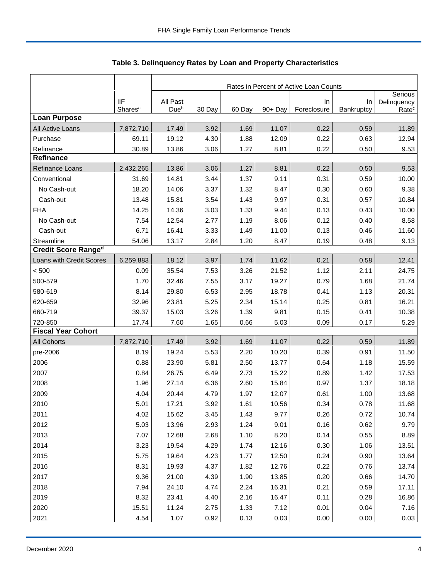|                            |                     | Rates in Percent of Active Loan Counts |        |        |         |             |            |                        |
|----------------------------|---------------------|----------------------------------------|--------|--------|---------|-------------|------------|------------------------|
|                            | <b>IIF</b>          | All Past                               |        |        |         | In          | In         | Serious<br>Delinquency |
| <b>Loan Purpose</b>        | Shares <sup>a</sup> | Due <sup>b</sup>                       | 30 Day | 60 Day | 90+ Day | Foreclosure | Bankruptcy | Rate <sup>c</sup>      |
| All Active Loans           | 7,872,710           | 17.49                                  | 3.92   | 1.69   | 11.07   | 0.22        | 0.59       | 11.89                  |
| Purchase                   | 69.11               | 19.12                                  | 4.30   | 1.88   | 12.09   | 0.22        | 0.63       | 12.94                  |
| Refinance                  | 30.89               | 13.86                                  | 3.06   | 1.27   | 8.81    | 0.22        | 0.50       | 9.53                   |
| Refinance                  |                     |                                        |        |        |         |             |            |                        |
| <b>Refinance Loans</b>     | 2,432,265           | 13.86                                  | 3.06   | 1.27   | 8.81    | 0.22        | 0.50       | 9.53                   |
| Conventional               | 31.69               | 14.81                                  | 3.44   | 1.37   | 9.11    | 0.31        | 0.59       | 10.00                  |
| No Cash-out                | 18.20               | 14.06                                  | 3.37   | 1.32   | 8.47    | 0.30        | 0.60       | 9.38                   |
| Cash-out                   | 13.48               | 15.81                                  | 3.54   | 1.43   | 9.97    | 0.31        | 0.57       | 10.84                  |
| <b>FHA</b>                 | 14.25               | 14.36                                  | 3.03   | 1.33   | 9.44    | 0.13        | 0.43       | 10.00                  |
| No Cash-out                | 7.54                | 12.54                                  | 2.77   | 1.19   | 8.06    | 0.12        | 0.40       | 8.58                   |
| Cash-out                   | 6.71                | 16.41                                  | 3.33   | 1.49   | 11.00   | 0.13        | 0.46       | 11.60                  |
| Streamline                 | 54.06               | 13.17                                  | 2.84   | 1.20   | 8.47    | 0.19        | 0.48       | 9.13                   |
| <b>Credit Score Ranged</b> |                     |                                        |        |        |         |             |            |                        |
| Loans with Credit Scores   | 6,259,883           | 18.12                                  | 3.97   | 1.74   | 11.62   | 0.21        | 0.58       | 12.41                  |
| < 500                      | 0.09                | 35.54                                  | 7.53   | 3.26   | 21.52   | 1.12        | 2.11       | 24.75                  |
| 500-579                    | 1.70                | 32.46                                  | 7.55   | 3.17   | 19.27   | 0.79        | 1.68       | 21.74                  |
| 580-619                    | 8.14                | 29.80                                  | 6.53   | 2.95   | 18.78   | 0.41        | 1.13       | 20.31                  |
| 620-659                    | 32.96               | 23.81                                  | 5.25   | 2.34   | 15.14   | 0.25        | 0.81       | 16.21                  |
| 660-719                    | 39.37               | 15.03                                  | 3.26   | 1.39   | 9.81    | 0.15        | 0.41       | 10.38                  |
| 720-850                    | 17.74               | 7.60                                   | 1.65   | 0.66   | 5.03    | 0.09        | 0.17       | 5.29                   |
| <b>Fiscal Year Cohort</b>  |                     |                                        |        |        |         |             |            |                        |
| <b>All Cohorts</b>         | 7,872,710           | 17.49                                  | 3.92   | 1.69   | 11.07   | 0.22        | 0.59       | 11.89                  |
| pre-2006                   | 8.19                | 19.24                                  | 5.53   | 2.20   | 10.20   | 0.39        | 0.91       | 11.50                  |
| 2006                       | 0.88                | 23.90                                  | 5.81   | 2.50   | 13.77   | 0.64        | 1.18       | 15.59                  |
| 2007                       | 0.84                | 26.75                                  | 6.49   | 2.73   | 15.22   | 0.89        | 1.42       | 17.53                  |
| 2008                       | 1.96                | 27.14                                  | 6.36   | 2.60   | 15.84   | 0.97        | 1.37       | 18.18                  |
| 2009                       | 4.04                | 20.44                                  | 4.79   | 1.97   | 12.07   | 0.61        | 1.00       | 13.68                  |
| 2010                       | 5.01                | 17.21                                  | 3.92   | 1.61   | 10.56   | 0.34        | 0.78       | 11.68                  |
| 2011                       | 4.02                | 15.62                                  | 3.45   | 1.43   | 9.77    | 0.26        | 0.72       | 10.74                  |
| 2012                       | 5.03                | 13.96                                  | 2.93   | 1.24   | 9.01    | 0.16        | 0.62       | 9.79                   |
| 2013                       | 7.07                | 12.68                                  | 2.68   | 1.10   | 8.20    | 0.14        | 0.55       | 8.89                   |
| 2014                       | 3.23                | 19.54                                  | 4.29   | 1.74   | 12.16   | 0.30        | 1.06       | 13.51                  |
| 2015                       | 5.75                | 19.64                                  | 4.23   | 1.77   | 12.50   | 0.24        | 0.90       | 13.64                  |
| 2016                       | 8.31                | 19.93                                  | 4.37   | 1.82   | 12.76   | 0.22        | 0.76       | 13.74                  |
| 2017                       | 9.36                | 21.00                                  | 4.39   | 1.90   | 13.85   | 0.20        | 0.66       | 14.70                  |
| 2018                       | 7.94                | 24.10                                  | 4.74   | 2.24   | 16.31   | 0.21        | 0.59       | 17.11                  |
| 2019                       | 8.32                | 23.41                                  | 4.40   | 2.16   | 16.47   | 0.11        | 0.28       | 16.86                  |
| 2020                       | 15.51               | 11.24                                  | 2.75   | 1.33   | 7.12    | 0.01        | 0.04       | 7.16                   |
| 2021                       | 4.54                | 1.07                                   | 0.92   | 0.13   | 0.03    | 0.00        | 0.00       | 0.03                   |

<span id="page-4-0"></span>Table 3. Delinquency Rates by Loan and Property Characteristics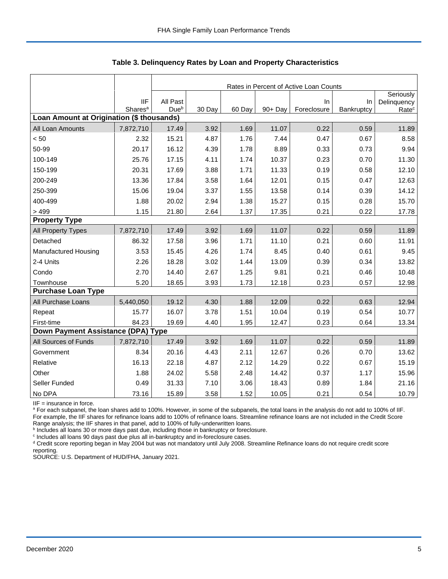|                                           |                                   |                              |        |        |         | Rates in Percent of Active Loan Counts |                  |                   |
|-------------------------------------------|-----------------------------------|------------------------------|--------|--------|---------|----------------------------------------|------------------|-------------------|
|                                           |                                   |                              |        |        |         |                                        |                  | Seriously         |
|                                           | <b>IIF</b><br>Shares <sup>a</sup> | All Past<br>Due <sup>b</sup> | 30 Day | 60 Day | 90+ Day | In<br>Foreclosure                      | In<br>Bankruptcy | Delinquency       |
| Loan Amount at Origination (\$ thousands) |                                   |                              |        |        |         |                                        |                  | Rate <sup>c</sup> |
| All Loan Amounts                          | 7,872,710                         | 17.49                        | 3.92   | 1.69   | 11.07   | 0.22                                   | 0.59             | 11.89             |
| < 50                                      | 2.32                              | 15.21                        | 4.87   | 1.76   | 7.44    | 0.47                                   | 0.67             | 8.58              |
| 50-99                                     | 20.17                             | 16.12                        | 4.39   | 1.78   | 8.89    | 0.33                                   | 0.73             | 9.94              |
| 100-149                                   | 25.76                             | 17.15                        | 4.11   | 1.74   | 10.37   | 0.23                                   | 0.70             | 11.30             |
| 150-199                                   | 20.31                             | 17.69                        | 3.88   | 1.71   | 11.33   | 0.19                                   | 0.58             | 12.10             |
| 200-249                                   | 13.36                             | 17.84                        | 3.58   | 1.64   | 12.01   | 0.15                                   | 0.47             | 12.63             |
| 250-399                                   | 15.06                             | 19.04                        | 3.37   | 1.55   | 13.58   | 0.14                                   | 0.39             | 14.12             |
| 400-499                                   | 1.88                              | 20.02                        | 2.94   | 1.38   | 15.27   | 0.15                                   | 0.28             | 15.70             |
| >499                                      | 1.15                              | 21.80                        | 2.64   | 1.37   | 17.35   | 0.21                                   | 0.22             | 17.78             |
| <b>Property Type</b>                      |                                   |                              |        |        |         |                                        |                  |                   |
| All Property Types                        | 7,872,710                         | 17.49                        | 3.92   | 1.69   | 11.07   | 0.22                                   | 0.59             | 11.89             |
| Detached                                  | 86.32                             | 17.58                        | 3.96   | 1.71   | 11.10   | 0.21                                   | 0.60             | 11.91             |
| Manufactured Housing                      | 3.53                              | 15.45                        | 4.26   | 1.74   | 8.45    | 0.40                                   | 0.61             | 9.45              |
| 2-4 Units                                 | 2.26                              | 18.28                        | 3.02   | 1.44   | 13.09   | 0.39                                   | 0.34             | 13.82             |
| Condo                                     | 2.70                              | 14.40                        | 2.67   | 1.25   | 9.81    | 0.21                                   | 0.46             | 10.48             |
| Townhouse                                 | 5.20                              | 18.65                        | 3.93   | 1.73   | 12.18   | 0.23                                   | 0.57             | 12.98             |
| <b>Purchase Loan Type</b>                 |                                   |                              |        |        |         |                                        |                  |                   |
| All Purchase Loans                        | 5,440,050                         | 19.12                        | 4.30   | 1.88   | 12.09   | 0.22                                   | 0.63             | 12.94             |
| Repeat                                    | 15.77                             | 16.07                        | 3.78   | 1.51   | 10.04   | 0.19                                   | 0.54             | 10.77             |
| First-time                                | 84.23                             | 19.69                        | 4.40   | 1.95   | 12.47   | 0.23                                   | 0.64             | 13.34             |
| Down Payment Assistance (DPA) Type        |                                   |                              |        |        |         |                                        |                  |                   |
| All Sources of Funds                      | 7,872,710                         | 17.49                        | 3.92   | 1.69   | 11.07   | 0.22                                   | 0.59             | 11.89             |
| Government                                | 8.34                              | 20.16                        | 4.43   | 2.11   | 12.67   | 0.26                                   | 0.70             | 13.62             |
| Relative                                  | 16.13                             | 22.18                        | 4.87   | 2.12   | 14.29   | 0.22                                   | 0.67             | 15.19             |
| Other                                     | 1.88                              | 24.02                        | 5.58   | 2.48   | 14.42   | 0.37                                   | 1.17             | 15.96             |
| Seller Funded                             | 0.49                              | 31.33                        | 7.10   | 3.06   | 18.43   | 0.89                                   | 1.84             | 21.16             |
| No DPA                                    | 73.16                             | 15.89                        | 3.58   | 1.52   | 10.05   | 0.21                                   | 0.54             | 10.79             |

**Table 3. Delinquency Rates by Loan and Property Characteristics**

IIF = insurance in force.

<sup>a</sup> For each subpanel, the loan shares add to 100%. However, in some of the subpanels, the total loans in the analysis do not add to 100% of IIF. For example, the IIF shares for refinance loans add to 100% of refinance loans. Streamline refinance loans are not included in the Credit Score

Range analysis; the IIF shares in that panel, add to 100% of fully-underwritten loans.<br><sup>b</sup> Includes all loans 30 or more days past due, including those in bankruptcy or foreclosure.

c Includes all loans 90 days past due plus all in-bankruptcy and in-foreclosure cases.

<sup>d</sup> Credit score reporting began in May 2004 but was not mandatory until July 2008. Streamline Refinance loans do not require credit score reporting.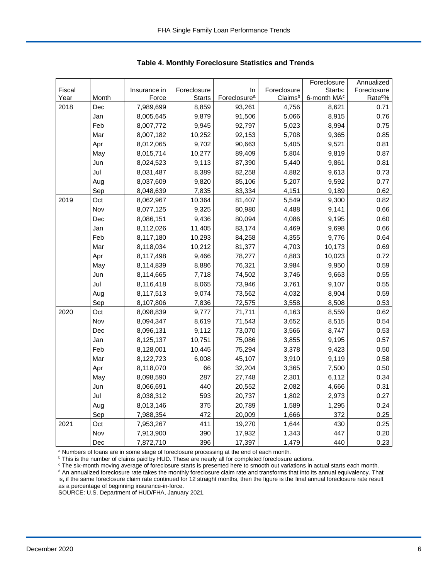|        |       |              |               |                          |             | Foreclosure             | Annualized           |
|--------|-------|--------------|---------------|--------------------------|-------------|-------------------------|----------------------|
| Fiscal |       | Insurance in | Foreclosure   | In                       | Foreclosure | Starts:                 | Foreclosure          |
| Year   | Month | Force        | <b>Starts</b> | Foreclosure <sup>a</sup> | Claimsb     | 6-month MA <sup>c</sup> | Rate <sup>do</sup> % |
| 2018   | Dec   | 7,989,699    | 8,859         | 93,261                   | 4,756       | 8,621                   | 0.71                 |
|        | Jan   | 8,005,645    | 9,879         | 91,506                   | 5,066       | 8,915                   | 0.76                 |
|        | Feb   | 8,007,772    | 9,945         | 92,797                   | 5,023       | 8,994                   | 0.75                 |
|        | Mar   | 8,007,182    | 10,252        | 92,153                   | 5,708       | 9,365                   | 0.85                 |
|        | Apr   | 8,012,065    | 9,702         | 90,663                   | 5,405       | 9,521                   | 0.81                 |
|        | May   | 8,015,714    | 10,277        | 89,409                   | 5,804       | 9,819                   | 0.87                 |
|        | Jun   | 8,024,523    | 9,113         | 87,390                   | 5,440       | 9,861                   | 0.81                 |
|        | Jul   | 8,031,487    | 8,389         | 82,258                   | 4,882       | 9,613                   | 0.73                 |
|        | Aug   | 8,037,609    | 9,820         | 85,106                   | 5,207       | 9,592                   | 0.77                 |
|        | Sep   | 8,048,639    | 7,835         | 83,334                   | 4,151       | 9,189                   | 0.62                 |
| 2019   | Oct   | 8,062,967    | 10,364        | 81,407                   | 5,549       | 9,300                   | 0.82                 |
|        | Nov   | 8,077,125    | 9,325         | 80,980                   | 4,488       | 9,141                   | 0.66                 |
|        | Dec   | 8,086,151    | 9,436         | 80,094                   | 4,086       | 9,195                   | 0.60                 |
|        | Jan   | 8,112,026    | 11,405        | 83,174                   | 4,469       | 9,698                   | 0.66                 |
|        | Feb   | 8,117,180    | 10,293        | 84,258                   | 4,355       | 9,776                   | 0.64                 |
|        | Mar   | 8,118,034    | 10,212        | 81,377                   | 4,703       | 10,173                  | 0.69                 |
|        | Apr   | 8,117,498    | 9,466         | 78,277                   | 4,883       | 10,023                  | 0.72                 |
|        | May   | 8,114,839    | 8,886         | 76,321                   | 3,984       | 9,950                   | 0.59                 |
|        | Jun   | 8,114,665    | 7,718         | 74,502                   | 3,746       | 9,663                   | 0.55                 |
|        | Jul   | 8,116,418    | 8,065         | 73,946                   | 3,761       | 9,107                   | 0.55                 |
|        | Aug   | 8,117,513    | 9,074         | 73,562                   | 4,032       | 8,904                   | 0.59                 |
|        | Sep   | 8,107,806    | 7,836         | 72,575                   | 3,558       | 8,508                   | 0.53                 |
| 2020   | Oct   | 8,098,839    | 9,777         | 71,711                   | 4,163       | 8,559                   | 0.62                 |
|        | Nov   | 8,094,347    | 8,619         | 71,543                   | 3,652       | 8,515                   | 0.54                 |
|        | Dec   | 8,096,131    | 9,112         | 73,070                   | 3,566       | 8,747                   | 0.53                 |
|        | Jan   | 8,125,137    | 10,751        | 75,086                   | 3,855       | 9,195                   | 0.57                 |
|        | Feb   | 8,128,001    | 10,445        | 75,294                   | 3,378       | 9,423                   | 0.50                 |
|        | Mar   | 8,122,723    | 6,008         | 45,107                   | 3,910       | 9,119                   | 0.58                 |
|        | Apr   | 8,118,070    | 66            | 32,204                   | 3,365       | 7,500                   | 0.50                 |
|        | May   | 8,098,590    | 287           | 27,748                   | 2,301       | 6,112                   | 0.34                 |
|        | Jun   | 8,066,691    | 440           | 20,552                   | 2,082       | 4,666                   | 0.31                 |
|        | Jul   | 8,038,312    | 593           | 20,737                   | 1,802       | 2,973                   | 0.27                 |
|        | Aug   | 8,013,146    | 375           | 20,789                   | 1,589       | 1,295                   | 0.24                 |
|        | Sep   | 7,988,354    | 472           | 20,009                   | 1,666       | 372                     | 0.25                 |
| 2021   | Oct   | 7,953,267    | 411           | 19,270                   | 1,644       | 430                     | 0.25                 |
|        | Nov   | 7,913,900    | 390           | 17,932                   | 1,343       | 447                     | 0.20                 |
|        | Dec   | 7,872,710    | 396           | 17,397                   | 1,479       | 440                     | 0.23                 |

<span id="page-6-0"></span>**Table 4. Monthly Foreclosure Statistics and Trends**

<sup>a</sup> Numbers of loans are in some stage of foreclosure processing at the end of each month.

b This is the number of claims paid by HUD. These are nearly all for completed foreclosure actions.

<sup>c</sup> The six-month moving average of foreclosure starts is presented here to smooth out variations in actual starts each month. <sup>d</sup> An annualized foreclosure rate takes the monthly foreclosure claim rate and transforms that into its annual equivalency. That is, if the same foreclosure claim rate continued for 12 straight months, then the figure is the final annual foreclosure rate result as a percentage of beginning insurance-in-force.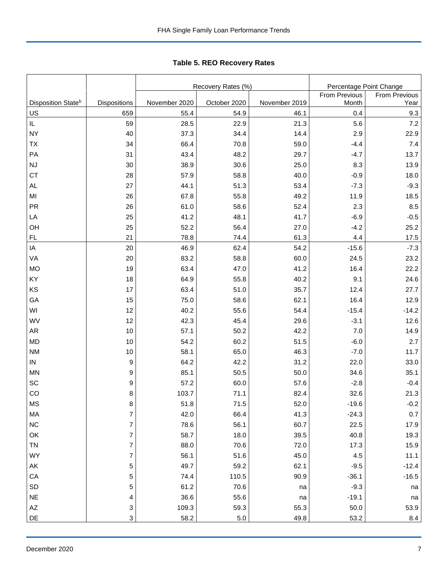|                                |                     |               | Recovery Rates (%) | Percentage Point Change |                        |                       |  |
|--------------------------------|---------------------|---------------|--------------------|-------------------------|------------------------|-----------------------|--|
| Disposition State <sup>b</sup> | <b>Dispositions</b> | November 2020 | October 2020       | November 2019           | From Previous<br>Month | From Previous<br>Year |  |
| <u>US</u>                      | 659                 | 55.4          | 54.9               | 46.1                    | 0.4                    | 9.3                   |  |
| IL                             | 59                  | 28.5          | 22.9               | 21.3                    | 5.6                    | 7.2                   |  |
| NΥ                             | 40                  | 37.3          | 34.4               | 14.4                    | 2.9                    | 22.9                  |  |
| ТX                             | 34                  | 66.4          | 70.8               | 59.0                    | $-4.4$                 | 7.4                   |  |
| PA                             | 31                  | 43.4          | 48.2               | 29.7                    | $-4.7$                 | 13.7                  |  |
| NJ                             | 30                  | 38.9          | 30.6               | 25.0                    | 8.3                    | 13.9                  |  |
| СT                             | 28                  | 57.9          | 58.8               | 40.0                    | $-0.9$                 | 18.0                  |  |
| AL                             | 27                  | 44.1          | 51.3               | 53.4                    | $-7.3$                 | $-9.3$                |  |
| ΜI                             | 26                  | 67.8          | 55.8               | 49.2                    | 11.9                   | 18.5                  |  |
| PR                             | 26                  | 61.0          | 58.6               | 52.4                    | 2.3                    | 8.5                   |  |
| LA                             | 25                  | 41.2          | 48.1               | 41.7                    | $-6.9$                 | $-0.5$                |  |
| OН                             | 25                  | 52.2          | 56.4               | 27.0                    | $-4.2$                 | 25.2                  |  |
| FL                             | 21                  | 78.8          | 74.4               | 61.3                    | 4.4                    | 17.5                  |  |
| IA                             | 20                  | 46.9          | 62.4               | 54.2                    | $-15.6$                | $-7.3$                |  |
| VA                             | 20                  | 83.2          | 58.8               | 60.0                    | 24.5                   | 23.2                  |  |
| МO                             | 19                  | 63.4          | 47.0               | 41.2                    | 16.4                   | 22.2                  |  |
| ΚY                             | 18                  | 64.9          | 55.8               | 40.2                    | 9.1                    | 24.6                  |  |
| ΚS                             | 17                  | 63.4          | 51.0               | 35.7                    | 12.4                   | 27.7                  |  |
| GА                             | 15                  | 75.0          | 58.6               | 62.1                    | 16.4                   | 12.9                  |  |
| WI                             | 12                  | 40.2          | 55.6               | 54.4                    | $-15.4$                | $-14.2$               |  |
| WV                             | 12                  | 42.3          | 45.4               | 29.6                    | $-3.1$                 | 12.6                  |  |
| AR                             | 10                  | 57.1          | 50.2               | 42.2                    | 7.0                    | 14.9                  |  |
| MD                             | 10                  | 54.2          | 60.2               | 51.5                    | $-6.0$                 | 2.7                   |  |
| NΜ                             | 10                  | 58.1          | 65.0               | 46.3                    | $-7.0$                 | 11.7                  |  |
| IN                             | 9                   | 64.2          | 42.2               | 31.2                    | 22.0                   | 33.0                  |  |
| MN                             | 9                   | 85.1          | 50.5               | 50.0                    | 34.6                   | 35.1                  |  |
| SC                             | 9                   | 57.2          | 60.0               | 57.6                    | $-2.8$                 | $-0.4$                |  |
| CO                             | 8                   | 103.7         | 71.1               | 82.4                    | 32.6                   | 21.3                  |  |
| ΜS                             | 8                   | 51.8          | 71.5               | 52.0                    | $-19.6$                | $-0.2$                |  |
| МA                             | 7                   | 42.0          | 66.4               | 41.3                    | $-24.3$                | 0.7                   |  |
| ΝC                             | $\boldsymbol{7}$    | 78.6          | 56.1               | 60.7                    | 22.5                   | 17.9                  |  |
| ОK                             | 7                   | 58.7          | 18.0               | 39.5                    | 40.8                   | 19.3                  |  |
| TN                             | $\overline{7}$      | 88.0          | 70.6               | 72.0                    | 17.3                   | 15.9                  |  |
| WY                             | $\overline{7}$      | 56.1          | 51.6               | 45.0                    | 4.5                    | 11.1                  |  |
| ΑK                             | 5                   | 49.7          | 59.2               | 62.1                    | $-9.5$                 | $-12.4$               |  |
| СA                             | 5                   | 74.4          | 110.5              | 90.9                    | $-36.1$                | $-16.5$               |  |
| SD                             | 5                   | 61.2          | 70.6               | na                      | $-9.3$                 | na                    |  |
| NE                             | 4                   | 36.6          | 55.6               | na                      | $-19.1$                | na                    |  |
| ΑZ                             | 3                   | 109.3         | 59.3               | 55.3                    | 50.0                   | 53.9                  |  |

DE 3 | 58.2 | 5.0 | 49.8 | 53.2 | 8.4

<span id="page-7-0"></span>Tabl e 5. REO R ecovery R ates **Table 5. REO Recovery Rates**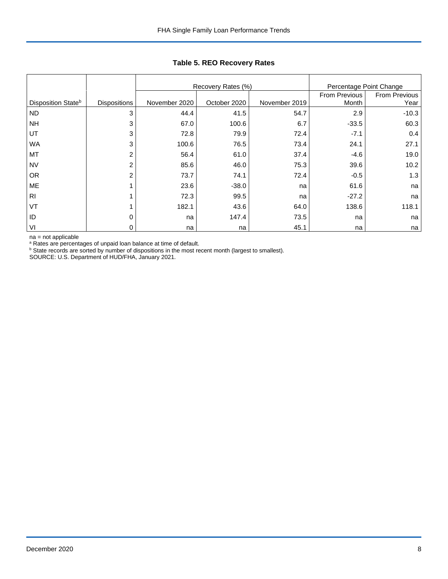|                                |                     |               | Recovery Rates (%) |               | Percentage Point Change |                      |
|--------------------------------|---------------------|---------------|--------------------|---------------|-------------------------|----------------------|
|                                |                     |               |                    |               | From Previous           | <b>From Previous</b> |
| Disposition State <sup>b</sup> | <b>Dispositions</b> | November 2020 | October 2020       | November 2019 | Month                   | Year                 |
| <b>ND</b>                      | 3                   | 44.4          | 41.5               | 54.7          | 2.9                     | $-10.3$              |
| <b>NH</b>                      | 3                   | 67.0          | 100.6              | 6.7           | $-33.5$                 | 60.3                 |
| UT                             | 3                   | 72.8          | 79.9               | 72.4          | $-7.1$                  | 0.4                  |
| <b>WA</b>                      | 3                   | 100.6         | 76.5               | 73.4          | 24.1                    | 27.1                 |
| MT                             | 2                   | 56.4          | 61.0               | 37.4          | $-4.6$                  | 19.0                 |
| <b>NV</b>                      | $\overline{c}$      | 85.6          | 46.0               | 75.3          | 39.6                    | 10.2                 |
| <b>OR</b>                      | 2                   | 73.7          | 74.1               | 72.4          | $-0.5$                  | 1.3                  |
| ME                             |                     | 23.6          | $-38.0$            | na            | 61.6                    | na                   |
| R <sub>l</sub>                 |                     | 72.3          | 99.5               | na            | $-27.2$                 | na                   |
| VT                             |                     | 182.1         | 43.6               | 64.0          | 138.6                   | 118.1                |
| ID                             | 0                   | na            | 147.4              | 73.5          | na                      | na                   |
| VI                             | 0                   | na            | na                 | 45.1          | na                      | na                   |

## **Table 5. REO Recovery Rates**

na = not applicable

<sup>a</sup> Rates are percentages of unpaid loan balance at time of default.

<sup>b</sup> State records are sorted by number of dispositions in the most recent month (largest to smallest).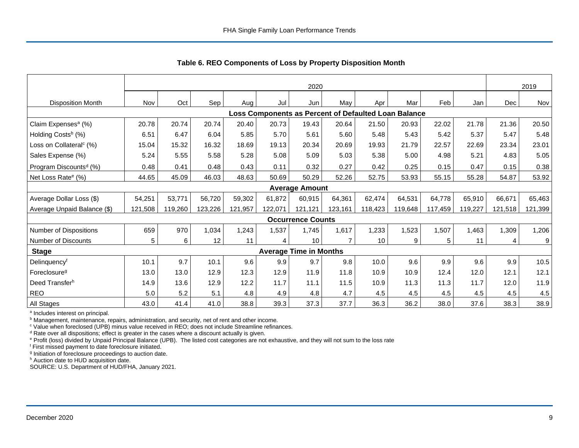|                                     | 2020    |         |         |         |         |                               |                |                                                      |         |         | 2019    |         |         |
|-------------------------------------|---------|---------|---------|---------|---------|-------------------------------|----------------|------------------------------------------------------|---------|---------|---------|---------|---------|
| <b>Disposition Month</b>            | Nov     | Oct     | Sep     | Aug     | Jul     | Jun                           | May            | Apr                                                  | Mar     | Feb     | Jan     | Dec     | Nov     |
|                                     |         |         |         |         |         |                               |                | Loss Components as Percent of Defaulted Loan Balance |         |         |         |         |         |
| Claim Expenses <sup>a</sup> (%)     | 20.78   | 20.74   | 20.74   | 20.40   | 20.73   | 19.43                         | 20.64          | 21.50                                                | 20.93   | 22.02   | 21.78   | 21.36   | 20.50   |
| Holding Costs <sup>b</sup> (%)      | 6.51    | 6.47    | 6.04    | 5.85    | 5.70    | 5.61                          | 5.60           | 5.48                                                 | 5.43    | 5.42    | 5.37    | 5.47    | 5.48    |
| Loss on Collateral <sup>c</sup> (%) | 15.04   | 15.32   | 16.32   | 18.69   | 19.13   | 20.34                         | 20.69          | 19.93                                                | 21.79   | 22.57   | 22.69   | 23.34   | 23.01   |
| Sales Expense (%)                   | 5.24    | 5.55    | 5.58    | 5.28    | 5.08    | 5.09                          | 5.03           | 5.38                                                 | 5.00    | 4.98    | 5.21    | 4.83    | 5.05    |
| Program Discounts <sup>d</sup> (%)  | 0.48    | 0.41    | 0.48    | 0.43    | 0.11    | 0.32                          | 0.27           | 0.42                                                 | 0.25    | 0.15    | 0.47    | 0.15    | 0.38    |
| Net Loss Rate <sup>e</sup> (%)      | 44.65   | 45.09   | 46.03   | 48.63   | 50.69   | 50.29                         | 52.26          | 52.75                                                | 53.93   | 55.15   | 55.28   | 54.87   | 53.92   |
|                                     |         |         |         |         |         | <b>Average Amount</b>         |                |                                                      |         |         |         |         |         |
| Average Dollar Loss (\$)            | 54,251  | 53,771  | 56,720  | 59,302  | 61.872  | 60,915                        | 64,361         | 62,474                                               | 64,531  | 64,778  | 65,910  | 66,671  | 65,463  |
| Average Unpaid Balance (\$)         | 121,508 | 119,260 | 123,226 | 121,957 | 122,071 | 121,121                       | 123,161        | 118,423                                              | 119,648 | 117,459 | 119,227 | 121,518 | 121,399 |
|                                     |         |         |         |         |         | <b>Occurrence Counts</b>      |                |                                                      |         |         |         |         |         |
| Number of Dispositions              | 659     | 970     | 1,034   | 1,243   | 1,537   | 1,745                         | 1,617          | 1,233                                                | 1,523   | 1,507   | 1,463   | 1,309   | 1,206   |
| Number of Discounts                 | 5       | 6       | 12      | 11      | 4       | 10                            | $\overline{7}$ | 10                                                   | 9       | 5       | 11      | 4       | 9       |
| <b>Stage</b>                        |         |         |         |         |         | <b>Average Time in Months</b> |                |                                                      |         |         |         |         |         |
| Delinquencyf                        | 10.1    | 9.7     | 10.1    | 9.6     | 9.9     | 9.7                           | 9.8            | 10.0                                                 | 9.6     | 9.9     | 9.6     | 9.9     | 10.5    |
| Foreclosure <sup>g</sup>            | 13.0    | 13.0    | 12.9    | 12.3    | 12.9    | 11.9                          | 11.8           | 10.9                                                 | 10.9    | 12.4    | 12.0    | 12.1    | 12.1    |
| Deed Transferh                      | 14.9    | 13.6    | 12.9    | 12.2    | 11.7    | 11.1                          | 11.5           | 10.9                                                 | 11.3    | 11.3    | 11.7    | 12.0    | 11.9    |
| <b>REO</b>                          | 5.0     | 5.2     | 5.1     | 4.8     | 4.9     | 4.8                           | 4.7            | 4.5                                                  | 4.5     | 4.5     | 4.5     | 4.5     | 4.5     |
| All Stages                          | 43.0    | 41.4    | 41.0    | 38.8    | 39.3    | 37.3                          | 37.7           | 36.3                                                 | 36.2    | 38.0    | 37.6    | 38.3    | 38.9    |

<span id="page-9-0"></span>**Table 6. REO Components of Loss by Property Disposition Month**

<sup>a</sup> Includes interest on principal.

**b** Management, maintenance, repairs, administration, and security, net of rent and other income.

<sup>c</sup> Value when foreclosed (UPB) minus value received in REO; does not include Streamline refinances.

<sup>d</sup> Rate over all dispositions; effect is greater in the cases where a discount actually is given.

<sup>e</sup> Profit (loss) divided by Unpaid Principal Balance (UPB). The listed cost categories are not exhaustive, and they will not sum to the loss rate

<sup>f</sup> First missed payment to date foreclosure initiated.

<sup>g</sup> Initiation of foreclosure proceedings to auction date.

h Auction date to HUD acquisition date.